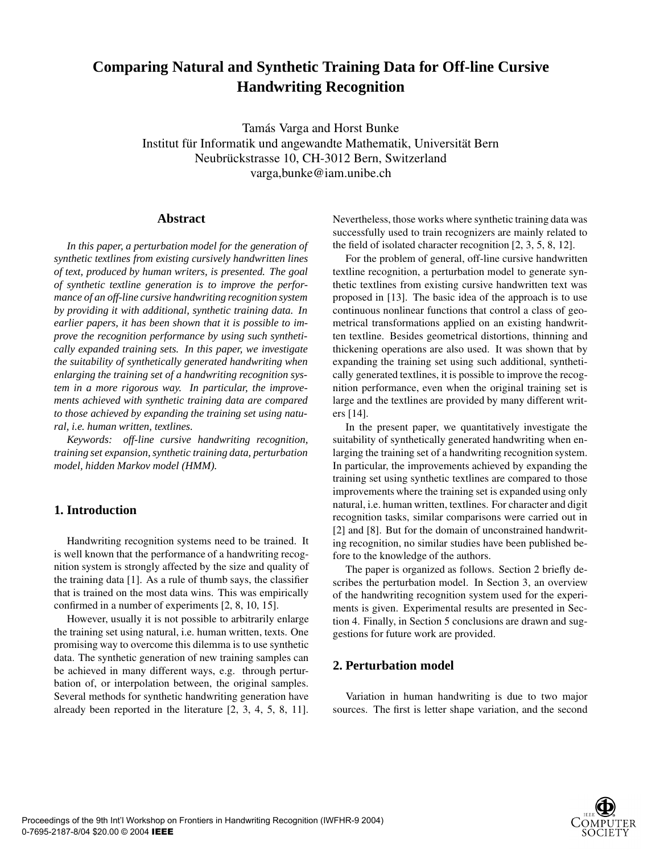# **Comparing Natural and Synthetic Training Data for Off-line Cursive Handwriting Recognition**

Tamás Varga and Horst Bunke Institut für Informatik und angewandte Mathematik, Universität Bern Neubrückstrasse 10, CH-3012 Bern, Switzerland varga,bunke@iam.unibe.ch

#### **Abstract**

*In this paper, a perturbation model for the generation of synthetic textlines from existing cursively handwritten lines of text, produced by human writers, is presented. The goal of synthetic textline generation is to improve the performance of an off-line cursive handwriting recognition system by providing it with additional, synthetic training data. In earlier papers, it has been shown that it is possible to improve the recognition performance by using such synthetically expanded training sets. In this paper, we investigate the suitability of synthetically generated handwriting when enlarging the training set of a handwriting recognition system in a more rigorous way. In particular, the improvements achieved with synthetic training data are compared to those achieved by expanding the training set using natural, i.e. human written, textlines.*

*Keywords: off-line cursive handwriting recognition, training set expansion, synthetic training data, perturbation model, hidden Markov model (HMM).*

# **1. Introduction**

Handwriting recognition systems need to be trained. It is well known that the performance of a handwriting recognition system is strongly affected by the size and quality of the training data [1]. As a rule of thumb says, the classifier that is trained on the most data wins. This was empirically confirmed in a number of experiments [2, 8, 10, 15].

However, usually it is not possible to arbitrarily enlarge the training set using natural, i.e. human written, texts. One promising way to overcome this dilemma is to use synthetic data. The synthetic generation of new training samples can be achieved in many different ways, e.g. through perturbation of, or interpolation between, the original samples. Several methods for synthetic handwriting generation have already been reported in the literature [2, 3, 4, 5, 8, 11].

Nevertheless, those works where synthetic training data was successfully used to train recognizers are mainly related to the field of isolated character recognition [2, 3, 5, 8, 12].

For the problem of general, off-line cursive handwritten textline recognition, a perturbation model to generate synthetic textlines from existing cursive handwritten text was proposed in [13]. The basic idea of the approach is to use continuous nonlinear functions that control a class of geometrical transformations applied on an existing handwritten textline. Besides geometrical distortions, thinning and thickening operations are also used. It was shown that by expanding the training set using such additional, synthetically generated textlines, it is possible to improve the recognition performance, even when the original training set is large and the textlines are provided by many different writers [14].

In the present paper, we quantitatively investigate the suitability of synthetically generated handwriting when enlarging the training set of a handwriting recognition system. In particular, the improvements achieved by expanding the training set using synthetic textlines are compared to those improvements where the training set is expanded using only natural, i.e. human written, textlines. For character and digit recognition tasks, similar comparisons were carried out in [2] and [8]. But for the domain of unconstrained handwriting recognition, no similar studies have been published before to the knowledge of the authors.

The paper is organized as follows. Section 2 briefly describes the perturbation model. In Section 3, an overview of the handwriting recognition system used for the experiments is given. Experimental results are presented in Section 4. Finally, in Section 5 conclusions are drawn and suggestions for future work are provided.

### **2. Perturbation model**

Variation in human handwriting is due to two major sources. The first is letter shape variation, and the second

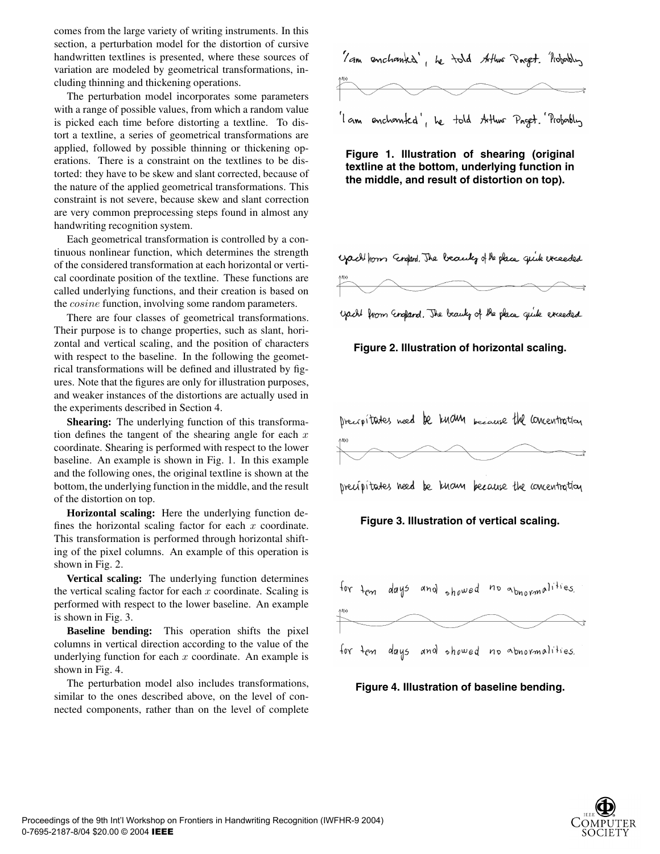comes from the large variety of writing instruments. In this section, a perturbation model for the distortion of cursive handwritten textlines is presented, where these sources of variation are modeled by geometrical transformations, including thinning and thickening operations.

The perturbation model incorporates some parameters with a range of possible values, from which a random value is picked each time before distorting a textline. To distort a textline, a series of geometrical transformations are applied, followed by possible thinning or thickening operations. There is a constraint on the textlines to be distorted: they have to be skew and slant corrected, because of the nature of the applied geometrical transformations. This constraint is not severe, because skew and slant correction are very common preprocessing steps found in almost any handwriting recognition system.

Each geometrical transformation is controlled by a continuous nonlinear function, which determines the strength of the considered transformation at each horizontal or vertical coordinate position of the textline. These functions are called underlying functions, and their creation is based on the *cosine* function, involving some random parameters.

There are four classes of geometrical transformations. Their purpose is to change properties, such as slant, horizontal and vertical scaling, and the position of characters with respect to the baseline. In the following the geometrical transformations will be defined and illustrated by figures. Note that the figures are only for illustration purposes, and weaker instances of the distortions are actually used in the experiments described in Section 4.

**Shearing:** The underlying function of this transformation defines the tangent of the shearing angle for each *x* coordinate. Shearing is performed with respect to the lower baseline. An example is shown in Fig. 1. In this example and the following ones, the original textline is shown at the bottom, the underlying function in the middle, and the result of the distortion on top.

**Horizontal scaling:** Here the underlying function defines the horizontal scaling factor for each *x* coordinate. This transformation is performed through horizontal shifting of the pixel columns. An example of this operation is shown in Fig. 2.

**Vertical scaling:** The underlying function determines the vertical scaling factor for each *x* coordinate. Scaling is performed with respect to the lower baseline. An example is shown in Fig. 3.

**Baseline bending:** This operation shifts the pixel columns in vertical direction according to the value of the underlying function for each *x* coordinate. An example is shown in Fig. 4.

The perturbation model also includes transformations, similar to the ones described above, on the level of connected components, rather than on the level of complete



**Figure 1. Illustration of shearing (original textline at the bottom, underlying function in the middle, and result of distortion on top).**

yach form England. The beauty of the place guide exceeded



yacht from England. The beauty of the place guite exceeded

#### **Figure 2. Illustration of horizontal scaling.**

Drecipitates need be known because the concentration







**Figure 4. Illustration of baseline bending.**

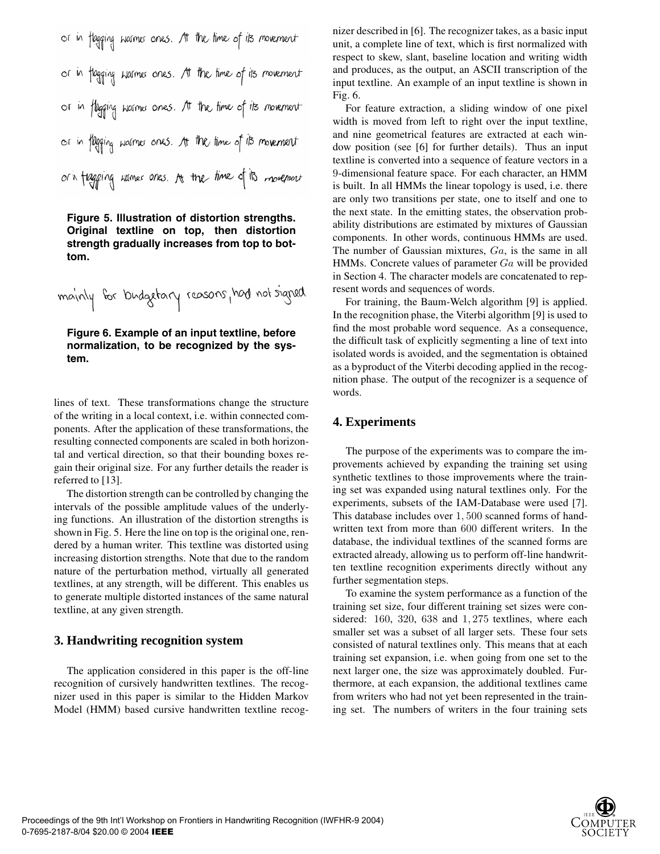or in flagging warmer ones. At the time of its movement or in flagging warmes ones. At the time of its movement or in fligging warms ones. At the time of its movement or in flagging warmer ones. At the time of its movement or in fagging womer ones. At the time of its movement

**Figure 5. Illustration of distortion strengths. Original textline on top, then distortion strength gradually increases from top to bottom.**

mainly for budgetary reasons, had not signed

#### **Figure 6. Example of an input textline, before normalization, to be recognized by the system.**

lines of text. These transformations change the structure of the writing in a local context, i.e. within connected components. After the application of these transformations, the resulting connected components are scaled in both horizontal and vertical direction, so that their bounding boxes regain their original size. For any further details the reader is referred to [13].

The distortion strength can be controlled by changing the intervals of the possible amplitude values of the underlying functions. An illustration of the distortion strengths is shown in Fig. 5. Here the line on top is the original one, rendered by a human writer. This textline was distorted using increasing distortion strengths. Note that due to the random nature of the perturbation method, virtually all generated textlines, at any strength, will be different. This enables us to generate multiple distorted instances of the same natural textline, at any given strength.

## **3. Handwriting recognition system**

The application considered in this paper is the off-line recognition of cursively handwritten textlines. The recognizer used in this paper is similar to the Hidden Markov Model (HMM) based cursive handwritten textline recognizer described in [6]. The recognizer takes, as a basic input unit, a complete line of text, which is first normalized with respect to skew, slant, baseline location and writing width and produces, as the output, an ASCII transcription of the input textline. An example of an input textline is shown in Fig. 6.

For feature extraction, a sliding window of one pixel width is moved from left to right over the input textline, and nine geometrical features are extracted at each window position (see [6] for further details). Thus an input textline is converted into a sequence of feature vectors in a 9-dimensional feature space. For each character, an HMM is built. In all HMMs the linear topology is used, i.e. there are only two transitions per state, one to itself and one to the next state. In the emitting states, the observation probability distributions are estimated by mixtures of Gaussian components. In other words, continuous HMMs are used. The number of Gaussian mixtures, *Ga*, is the same in all HMMs. Concrete values of parameter *Ga* will be provided in Section 4. The character models are concatenated to represent words and sequences of words.

For training, the Baum-Welch algorithm [9] is applied. In the recognition phase, the Viterbi algorithm [9] is used to find the most probable word sequence. As a consequence, the difficult task of explicitly segmenting a line of text into isolated words is avoided, and the segmentation is obtained as a byproduct of the Viterbi decoding applied in the recognition phase. The output of the recognizer is a sequence of words.

# **4. Experiments**

The purpose of the experiments was to compare the improvements achieved by expanding the training set using synthetic textlines to those improvements where the training set was expanded using natural textlines only. For the experiments, subsets of the IAM-Database were used [7]. This database includes over 1*,* 500 scanned forms of handwritten text from more than 600 different writers. In the database, the individual textlines of the scanned forms are extracted already, allowing us to perform off-line handwritten textline recognition experiments directly without any further segmentation steps.

To examine the system performance as a function of the training set size, four different training set sizes were considered: 160, 320, 638 and 1*,* 275 textlines, where each smaller set was a subset of all larger sets. These four sets consisted of natural textlines only. This means that at each training set expansion, i.e. when going from one set to the next larger one, the size was approximately doubled. Furthermore, at each expansion, the additional textlines came from writers who had not yet been represented in the training set. The numbers of writers in the four training sets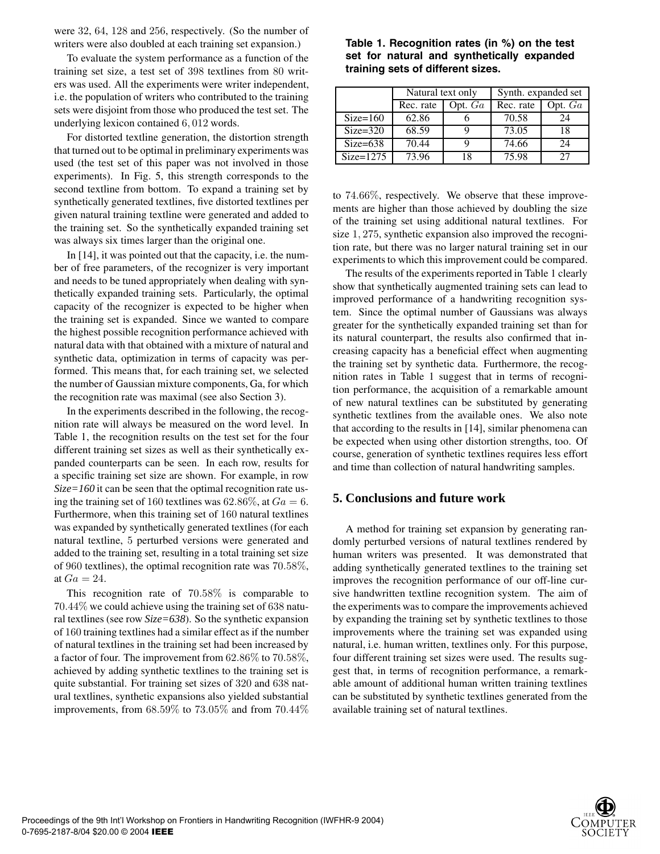were 32, 64, 128 and 256, respectively. (So the number of writers were also doubled at each training set expansion.)

To evaluate the system performance as a function of the training set size, a test set of 398 textlines from 80 writers was used. All the experiments were writer independent, i.e. the population of writers who contributed to the training sets were disjoint from those who produced the test set. The underlying lexicon contained 6*,* 012 words.

For distorted textline generation, the distortion strength that turned out to be optimal in preliminary experiments was used (the test set of this paper was not involved in those experiments). In Fig. 5, this strength corresponds to the second textline from bottom. To expand a training set by synthetically generated textlines, five distorted textlines per given natural training textline were generated and added to the training set. So the synthetically expanded training set was always six times larger than the original one.

In [14], it was pointed out that the capacity, i.e. the number of free parameters, of the recognizer is very important and needs to be tuned appropriately when dealing with synthetically expanded training sets. Particularly, the optimal capacity of the recognizer is expected to be higher when the training set is expanded. Since we wanted to compare the highest possible recognition performance achieved with natural data with that obtained with a mixture of natural and synthetic data, optimization in terms of capacity was performed. This means that, for each training set, we selected the number of Gaussian mixture components, Ga, for which the recognition rate was maximal (see also Section 3).

In the experiments described in the following, the recognition rate will always be measured on the word level. In Table 1, the recognition results on the test set for the four different training set sizes as well as their synthetically expanded counterparts can be seen. In each row, results for a specific training set size are shown. For example, in row *Size=160* it can be seen that the optimal recognition rate using the training set of 160 textlines was 62.86%, at  $Ga = 6$ . Furthermore, when this training set of 160 natural textlines was expanded by synthetically generated textlines (for each natural textline, 5 perturbed versions were generated and added to the training set, resulting in a total training set size of 960 textlines), the optimal recognition rate was 70*.*58%, at  $Ga = 24$ .

This recognition rate of 70*.*58% is comparable to 70*.*44% we could achieve using the training set of 638 natural textlines (see row *Size=638*). So the synthetic expansion of 160 training textlines had a similar effect as if the number of natural textlines in the training set had been increased by a factor of four. The improvement from 62*.*86% to 70*.*58%, achieved by adding synthetic textlines to the training set is quite substantial. For training set sizes of 320 and 638 natural textlines, synthetic expansions also yielded substantial improvements, from 68*.*59% to 73*.*05% and from 70*.*44%

# **Table 1. Recognition rates (in %) on the test set for natural and synthetically expanded training sets of different sizes.**

|              | Natural text only |           | Synth. expanded set |           |
|--------------|-------------------|-----------|---------------------|-----------|
|              | Rec. rate         | Opt. $Ga$ | Rec. rate           | Opt. $Ga$ |
| $Size=160$   | 62.86             |           | 70.58               | 24        |
| $Size = 320$ | 68.59             |           | 73.05               | 18        |
| $Size = 638$ | 70.44             |           | 74.66               | 24        |
| $Size=1275$  | 73.96             | 18        | 75.98               | 27        |

to 74*.*66%, respectively. We observe that these improvements are higher than those achieved by doubling the size of the training set using additional natural textlines. For size 1*,* 275, synthetic expansion also improved the recognition rate, but there was no larger natural training set in our experiments to which this improvement could be compared.

The results of the experiments reported in Table 1 clearly show that synthetically augmented training sets can lead to improved performance of a handwriting recognition system. Since the optimal number of Gaussians was always greater for the synthetically expanded training set than for its natural counterpart, the results also confirmed that increasing capacity has a beneficial effect when augmenting the training set by synthetic data. Furthermore, the recognition rates in Table 1 suggest that in terms of recognition performance, the acquisition of a remarkable amount of new natural textlines can be substituted by generating synthetic textlines from the available ones. We also note that according to the results in [14], similar phenomena can be expected when using other distortion strengths, too. Of course, generation of synthetic textlines requires less effort and time than collection of natural handwriting samples.

# **5. Conclusions and future work**

A method for training set expansion by generating randomly perturbed versions of natural textlines rendered by human writers was presented. It was demonstrated that adding synthetically generated textlines to the training set improves the recognition performance of our off-line cursive handwritten textline recognition system. The aim of the experiments was to compare the improvements achieved by expanding the training set by synthetic textlines to those improvements where the training set was expanded using natural, i.e. human written, textlines only. For this purpose, four different training set sizes were used. The results suggest that, in terms of recognition performance, a remarkable amount of additional human written training textlines can be substituted by synthetic textlines generated from the available training set of natural textlines.